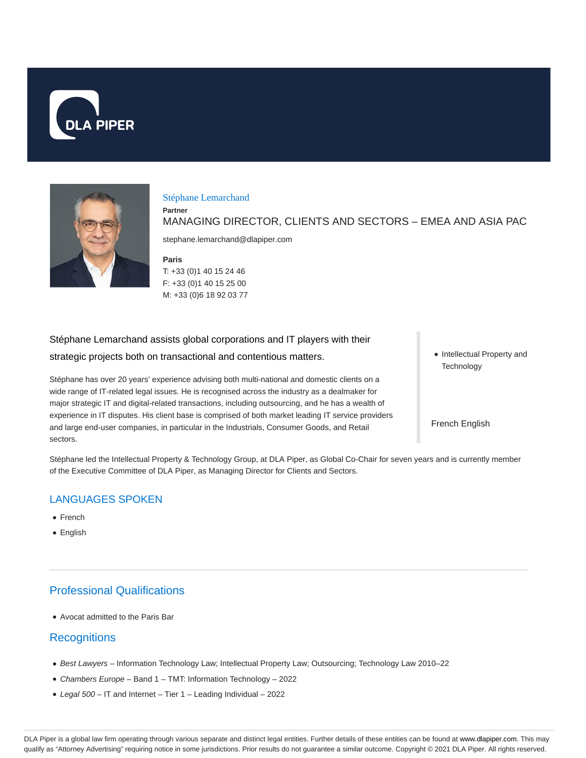



#### Stéphane Lemarchand

**Partner** MANAGING DIRECTOR, CLIENTS AND SECTORS – EMEA AND ASIA PAC

stephane.lemarchand@dlapiper.com

**Paris**

T: +33 (0)1 40 15 24 46 F: +33 (0)1 40 15 25 00 M: +33 (0)6 18 92 03 77

Stéphane Lemarchand assists global corporations and IT players with their strategic projects both on transactional and contentious matters.

Stéphane has over 20 years' experience advising both multi-national and domestic clients on a wide range of IT-related legal issues. He is recognised across the industry as a dealmaker for major strategic IT and digital-related transactions, including outsourcing, and he has a wealth of experience in IT disputes. His client base is comprised of both market leading IT service providers and large end-user companies, in particular in the Industrials, Consumer Goods, and Retail sectors.

• Intellectual Property and **Technology** 

French English

Stéphane led the Intellectual Property & Technology Group, at DLA Piper, as Global Co-Chair for seven years and is currently member of the Executive Committee of DLA Piper, as Managing Director for Clients and Sectors.

## LANGUAGES SPOKEN

- French
- English

# Professional Qualifications

Avocat admitted to the Paris Bar

## **Recognitions**

- Best Lawyers Information Technology Law; Intellectual Property Law; Outsourcing; Technology Law 2010-22
- Chambers Europe Band 1 TMT: Information Technology 2022
- Legal 500 IT and Internet Tier 1 Leading Individual 2022

DLA Piper is a global law firm operating through various separate and distinct legal entities. Further details of these entities can be found at www.dlapiper.com. This may qualify as "Attorney Advertising" requiring notice in some jurisdictions. Prior results do not guarantee a similar outcome. Copyright © 2021 DLA Piper. All rights reserved.